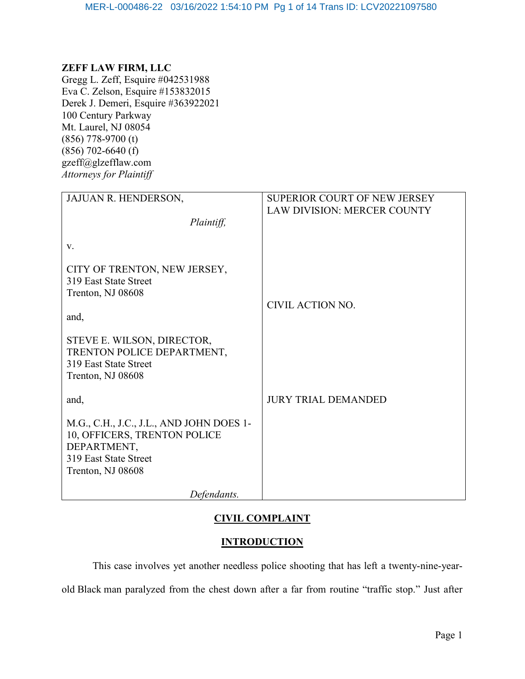#### ZEFF LAW FIRM, LLC

Gregg L. Zeff, Esquire #042531988 Eva C. Zelson, Esquire #153832015 Derek J. Demeri, Esquire #363922021 100 Century Parkway Mt. Laurel, NJ 08054 (856) 778-9700 (t) (856) 702-6640 (f) gzeff@glzefflaw.com Attorneys for Plaintiff

| JAJUAN R. HENDERSON,                                                                                                                  | SUPERIOR COURT OF NEW JERSEY       |
|---------------------------------------------------------------------------------------------------------------------------------------|------------------------------------|
| Plaintiff,                                                                                                                            | <b>LAW DIVISION: MERCER COUNTY</b> |
| V.                                                                                                                                    |                                    |
| CITY OF TRENTON, NEW JERSEY,<br>319 East State Street<br>Trenton, NJ 08608<br>and,                                                    | CIVIL ACTION NO.                   |
| STEVE E. WILSON, DIRECTOR,<br>TRENTON POLICE DEPARTMENT,<br>319 East State Street<br>Trenton, NJ 08608                                |                                    |
| and,                                                                                                                                  | <b>JURY TRIAL DEMANDED</b>         |
| M.G., C.H., J.C., J.L., AND JOHN DOES 1-<br>10, OFFICERS, TRENTON POLICE<br>DEPARTMENT,<br>319 East State Street<br>Trenton, NJ 08608 |                                    |
| Defendants.                                                                                                                           |                                    |

## CIVIL COMPLAINT

#### **INTRODUCTION**

This case involves yet another needless police shooting that has left a twenty-nine-yearold Black man paralyzed from the chest down after a far from routine "traffic stop." Just after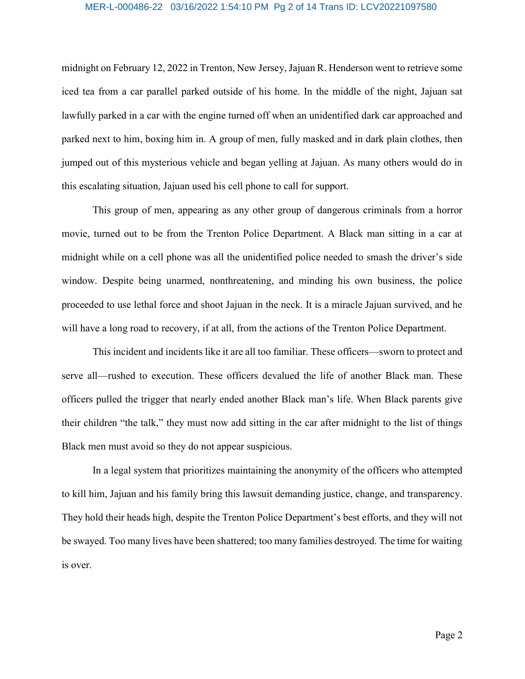## MER-L-000486-22 03/16/2022 1:54:10 PM Pg 2 of 14 Trans ID: LCV20221097580

midnight on February 12, 2022 in Trenton, New Jersey, Jajuan R. Henderson went to retrieve some iced tea from a car parallel parked outside of his home. In the middle of the night, Jajuan sat lawfully parked in a car with the engine turned off when an unidentified dark car approached and parked next to him, boxing him in. A group of men, fully masked and in dark plain clothes, then jumped out of this mysterious vehicle and began yelling at Jajuan. As many others would do in this escalating situation, Jajuan used his cell phone to call for support.

This group of men, appearing as any other group of dangerous criminals from a horror movie, turned out to be from the Trenton Police Department. A Black man sitting in a car at midnight while on a cell phone was all the unidentified police needed to smash the driver's side window. Despite being unarmed, nonthreatening, and minding his own business, the police proceeded to use lethal force and shoot Jajuan in the neck. It is a miracle Jajuan survived, and he will have a long road to recovery, if at all, from the actions of the Trenton Police Department.

This incident and incidents like it are all too familiar. These officers—sworn to protect and serve all—rushed to execution. These officers devalued the life of another Black man. These officers pulled the trigger that nearly ended another Black man's life. When Black parents give their children "the talk," they must now add sitting in the car after midnight to the list of things Black men must avoid so they do not appear suspicious.

In a legal system that prioritizes maintaining the anonymity of the officers who attempted to kill him, Jajuan and his family bring this lawsuit demanding justice, change, and transparency. They hold their heads high, despite the Trenton Police Department's best efforts, and they will not be swayed. Too many lives have been shattered; too many families destroyed. The time for waiting is over.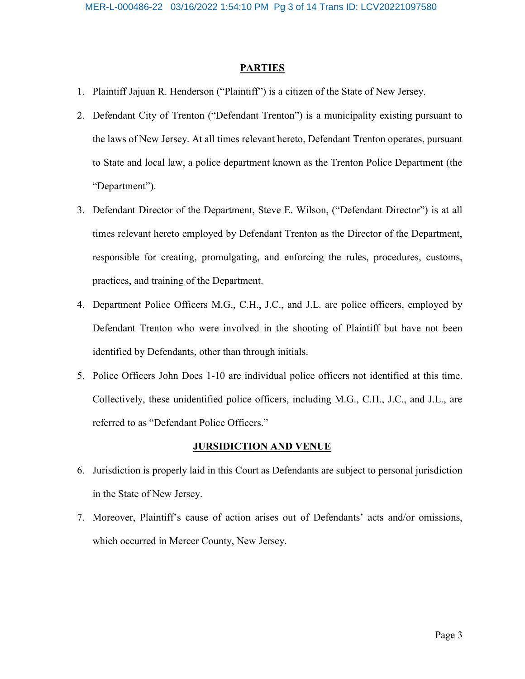#### **PARTIES**

- 1. Plaintiff Jajuan R. Henderson ("Plaintiff") is a citizen of the State of New Jersey.
- 2. Defendant City of Trenton ("Defendant Trenton") is a municipality existing pursuant to the laws of New Jersey. At all times relevant hereto, Defendant Trenton operates, pursuant to State and local law, a police department known as the Trenton Police Department (the "Department").
- 3. Defendant Director of the Department, Steve E. Wilson, ("Defendant Director") is at all times relevant hereto employed by Defendant Trenton as the Director of the Department, responsible for creating, promulgating, and enforcing the rules, procedures, customs, practices, and training of the Department.
- 4. Department Police Officers M.G., C.H., J.C., and J.L. are police officers, employed by Defendant Trenton who were involved in the shooting of Plaintiff but have not been identified by Defendants, other than through initials.
- 5. Police Officers John Does 1-10 are individual police officers not identified at this time. Collectively, these unidentified police officers, including M.G., C.H., J.C., and J.L., are referred to as "Defendant Police Officers."

#### **JURSIDICTION AND VENUE**

- 6. Jurisdiction is properly laid in this Court as Defendants are subject to personal jurisdiction in the State of New Jersey.
- 7. Moreover, Plaintiff's cause of action arises out of Defendants' acts and/or omissions, which occurred in Mercer County, New Jersey.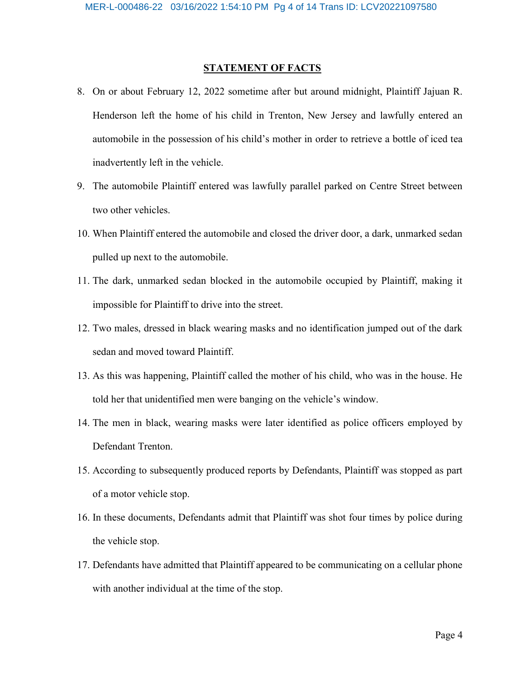#### **STATEMENT OF FACTS**

- 8. On or about February 12, 2022 sometime after but around midnight, Plaintiff Jajuan R. Henderson left the home of his child in Trenton, New Jersey and lawfully entered an automobile in the possession of his child's mother in order to retrieve a bottle of iced tea inadvertently left in the vehicle.
- 9. The automobile Plaintiff entered was lawfully parallel parked on Centre Street between two other vehicles.
- 10. When Plaintiff entered the automobile and closed the driver door, a dark, unmarked sedan pulled up next to the automobile.
- 11. The dark, unmarked sedan blocked in the automobile occupied by Plaintiff, making it impossible for Plaintiff to drive into the street.
- 12. Two males, dressed in black wearing masks and no identification jumped out of the dark sedan and moved toward Plaintiff.
- 13. As this was happening, Plaintiff called the mother of his child, who was in the house. He told her that unidentified men were banging on the vehicle's window.
- 14. The men in black, wearing masks were later identified as police officers employed by Defendant Trenton.
- 15. According to subsequently produced reports by Defendants, Plaintiff was stopped as part of a motor vehicle stop.
- 16. In these documents, Defendants admit that Plaintiff was shot four times by police during the vehicle stop.
- 17. Defendants have admitted that Plaintiff appeared to be communicating on a cellular phone with another individual at the time of the stop.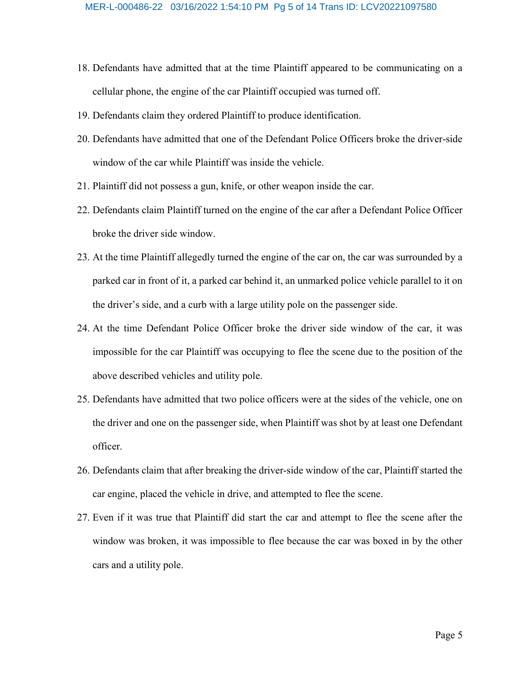- 18. Defendants have admitted that at the time Plaintiff appeared to be communicating on a cellular phone, the engine of the car Plaintiff occupied was turned off.
- 19. Defendants claim they ordered Plaintiff to produce identification.
- 20. Defendants have admitted that one of the Defendant Police Officers broke the driver-side window of the car while Plaintiff was inside the vehicle.
- 21. Plaintiff did not possess a gun, knife, or other weapon inside the car.
- 22. Defendants claim Plaintiff turned on the engine of the car after a Defendant Police Officer broke the driver side window.
- 23. At the time Plaintiff allegedly turned the engine of the car on, the car was surrounded by a parked car in front of it, a parked car behind it, an unmarked police vehicle parallel to it on the driver's side, and a curb with a large utility pole on the passenger side.
- 24. At the time Defendant Police Officer broke the driver side window of the car, it was impossible for the car Plaintiff was occupying to flee the scene due to the position of the above described vehicles and utility pole.
- 25. Defendants have admitted that two police officers were at the sides of the vehicle, one on the driver and one on the passenger side, when Plaintiff was shot by at least one Defendant officer.
- 26. Defendants claim that after breaking the driver-side window of the car, Plaintiff started the car engine, placed the vehicle in drive, and attempted to flee the scene.
- 27. Even if it was true that Plaintiff did start the car and attempt to flee the scene after the window was broken, it was impossible to flee because the car was boxed in by the other cars and a utility pole.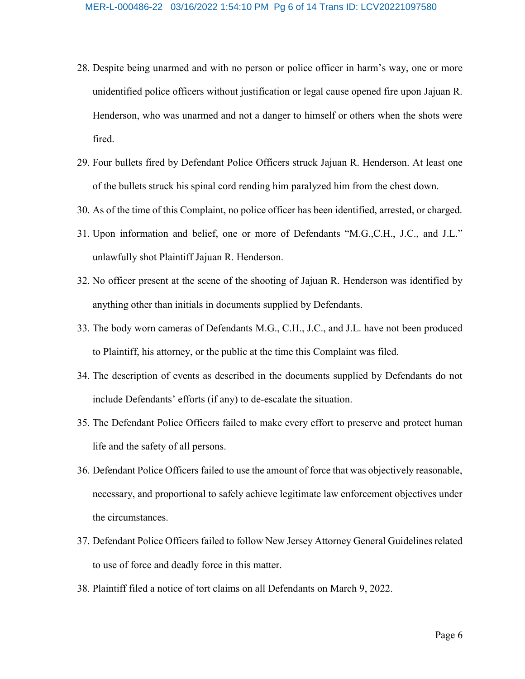- 28. Despite being unarmed and with no person or police officer in harm's way, one or more unidentified police officers without justification or legal cause opened fire upon Jajuan R. Henderson, who was unarmed and not a danger to himself or others when the shots were fired.
- 29. Four bullets fired by Defendant Police Officers struck Jajuan R. Henderson. At least one of the bullets struck his spinal cord rending him paralyzed him from the chest down.
- 30. As of the time of this Complaint, no police officer has been identified, arrested, or charged.
- 31. Upon information and belief, one or more of Defendants "M.G.,C.H., J.C., and J.L." unlawfully shot Plaintiff Jajuan R. Henderson.
- 32. No officer present at the scene of the shooting of Jajuan R. Henderson was identified by anything other than initials in documents supplied by Defendants.
- 33. The body worn cameras of Defendants M.G., C.H., J.C., and J.L. have not been produced to Plaintiff, his attorney, or the public at the time this Complaint was filed.
- 34. The description of events as described in the documents supplied by Defendants do not include Defendants' efforts (if any) to de-escalate the situation.
- 35. The Defendant Police Officers failed to make every effort to preserve and protect human life and the safety of all persons.
- 36. Defendant Police Officers failed to use the amount of force that was objectively reasonable, necessary, and proportional to safely achieve legitimate law enforcement objectives under the circumstances.
- 37. Defendant Police Officers failed to follow New Jersey Attorney General Guidelines related to use of force and deadly force in this matter.
- 38. Plaintiff filed a notice of tort claims on all Defendants on March 9, 2022.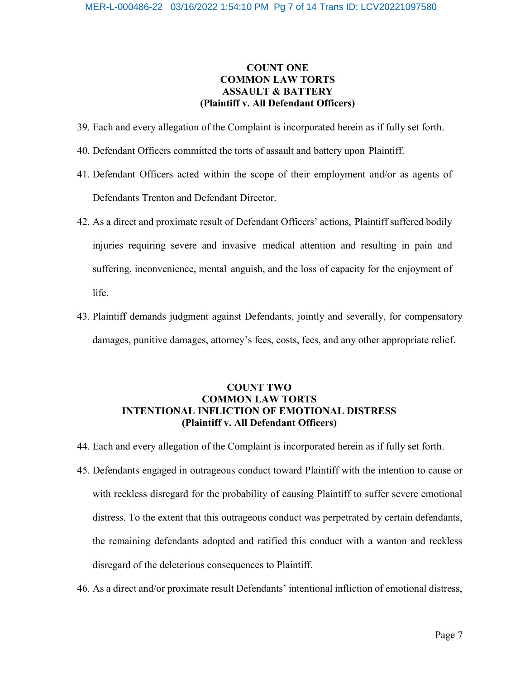### COUNT ONE COMMON LAW TORTS ASSAULT & BATTERY (Plaintiff v. All Defendant Officers)

- 39. Each and every allegation of the Complaint is incorporated herein as if fully set forth.
- 40. Defendant Officers committed the torts of assault and battery upon Plaintiff.
- 41. Defendant Officers acted within the scope of their employment and/or as agents of Defendants Trenton and Defendant Director.
- 42. As a direct and proximate result of Defendant Officers' actions, Plaintiff suffered bodily injuries requiring severe and invasive medical attention and resulting in pain and suffering, inconvenience, mental anguish, and the loss of capacity for the enjoyment of life.
- 43. Plaintiff demands judgment against Defendants, jointly and severally, for compensatory damages, punitive damages, attorney's fees, costs, fees, and any other appropriate relief.

## COUNT TWO COMMON LAW TORTS INTENTIONAL INFLICTION OF EMOTIONAL DISTRESS (Plaintiff v. All Defendant Officers)

- 44. Each and every allegation of the Complaint is incorporated herein as if fully set forth.
- 45. Defendants engaged in outrageous conduct toward Plaintiff with the intention to cause or with reckless disregard for the probability of causing Plaintiff to suffer severe emotional distress. To the extent that this outrageous conduct was perpetrated by certain defendants, the remaining defendants adopted and ratified this conduct with a wanton and reckless disregard of the deleterious consequences to Plaintiff.
- 46. As a direct and/or proximate result Defendants' intentional infliction of emotional distress,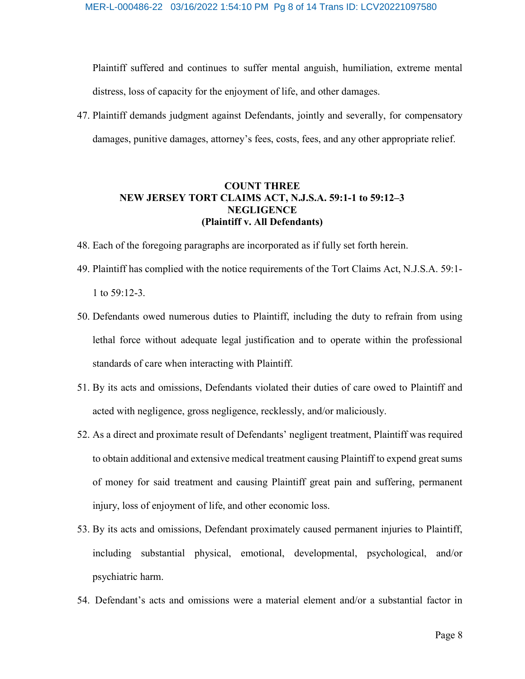Plaintiff suffered and continues to suffer mental anguish, humiliation, extreme mental distress, loss of capacity for the enjoyment of life, and other damages.

47. Plaintiff demands judgment against Defendants, jointly and severally, for compensatory damages, punitive damages, attorney's fees, costs, fees, and any other appropriate relief.

#### COUNT THREE NEW JERSEY TORT CLAIMS ACT, N.J.S.A. 59:1-1 to 59:12–3 NEGLIGENCE (Plaintiff v. All Defendants)

- 48. Each of the foregoing paragraphs are incorporated as if fully set forth herein.
- 49. Plaintiff has complied with the notice requirements of the Tort Claims Act, N.J.S.A. 59:1- 1 to 59:12-3.
- 50. Defendants owed numerous duties to Plaintiff, including the duty to refrain from using lethal force without adequate legal justification and to operate within the professional standards of care when interacting with Plaintiff.
- 51. By its acts and omissions, Defendants violated their duties of care owed to Plaintiff and acted with negligence, gross negligence, recklessly, and/or maliciously.
- 52. As a direct and proximate result of Defendants' negligent treatment, Plaintiff was required to obtain additional and extensive medical treatment causing Plaintiff to expend great sums of money for said treatment and causing Plaintiff great pain and suffering, permanent injury, loss of enjoyment of life, and other economic loss.
- 53. By its acts and omissions, Defendant proximately caused permanent injuries to Plaintiff, including substantial physical, emotional, developmental, psychological, and/or psychiatric harm.
- 54. Defendant's acts and omissions were a material element and/or a substantial factor in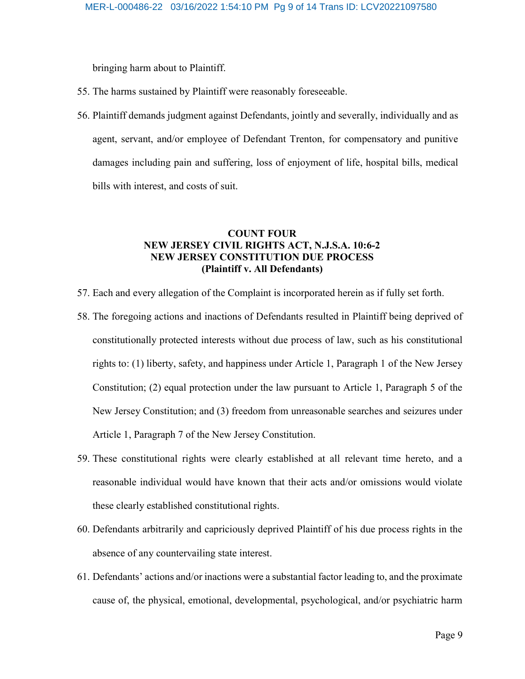bringing harm about to Plaintiff.

- 55. The harms sustained by Plaintiff were reasonably foreseeable.
- 56. Plaintiff demands judgment against Defendants, jointly and severally, individually and as agent, servant, and/or employee of Defendant Trenton, for compensatory and punitive damages including pain and suffering, loss of enjoyment of life, hospital bills, medical bills with interest, and costs of suit.

#### COUNT FOUR NEW JERSEY CIVIL RIGHTS ACT, N.J.S.A. 10:6-2 NEW JERSEY CONSTITUTION DUE PROCESS (Plaintiff v. All Defendants)

- 57. Each and every allegation of the Complaint is incorporated herein as if fully set forth.
- 58. The foregoing actions and inactions of Defendants resulted in Plaintiff being deprived of constitutionally protected interests without due process of law, such as his constitutional rights to: (1) liberty, safety, and happiness under Article 1, Paragraph 1 of the New Jersey Constitution; (2) equal protection under the law pursuant to Article 1, Paragraph 5 of the New Jersey Constitution; and (3) freedom from unreasonable searches and seizures under Article 1, Paragraph 7 of the New Jersey Constitution.
- 59. These constitutional rights were clearly established at all relevant time hereto, and a reasonable individual would have known that their acts and/or omissions would violate these clearly established constitutional rights.
- 60. Defendants arbitrarily and capriciously deprived Plaintiff of his due process rights in the absence of any countervailing state interest.
- 61. Defendants' actions and/or inactions were a substantial factor leading to, and the proximate cause of, the physical, emotional, developmental, psychological, and/or psychiatric harm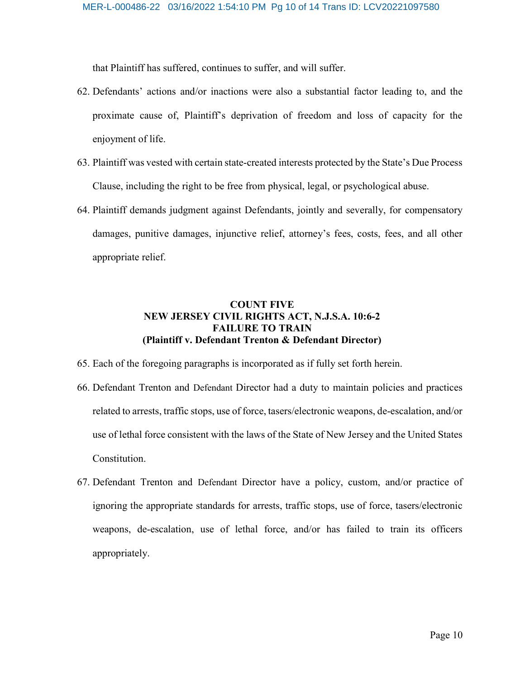that Plaintiff has suffered, continues to suffer, and will suffer.

- 62. Defendants' actions and/or inactions were also a substantial factor leading to, and the proximate cause of, Plaintiff's deprivation of freedom and loss of capacity for the enjoyment of life.
- 63. Plaintiff was vested with certain state-created interests protected by the State's Due Process Clause, including the right to be free from physical, legal, or psychological abuse.
- 64. Plaintiff demands judgment against Defendants, jointly and severally, for compensatory damages, punitive damages, injunctive relief, attorney's fees, costs, fees, and all other appropriate relief.

#### COUNT FIVE NEW JERSEY CIVIL RIGHTS ACT, N.J.S.A. 10:6-2 FAILURE TO TRAIN (Plaintiff v. Defendant Trenton & Defendant Director)

- 65. Each of the foregoing paragraphs is incorporated as if fully set forth herein.
- 66. Defendant Trenton and Defendant Director had a duty to maintain policies and practices related to arrests, traffic stops, use of force, tasers/electronic weapons, de-escalation, and/or use of lethal force consistent with the laws of the State of New Jersey and the United States Constitution.
- 67. Defendant Trenton and Defendant Director have a policy, custom, and/or practice of ignoring the appropriate standards for arrests, traffic stops, use of force, tasers/electronic weapons, de-escalation, use of lethal force, and/or has failed to train its officers appropriately.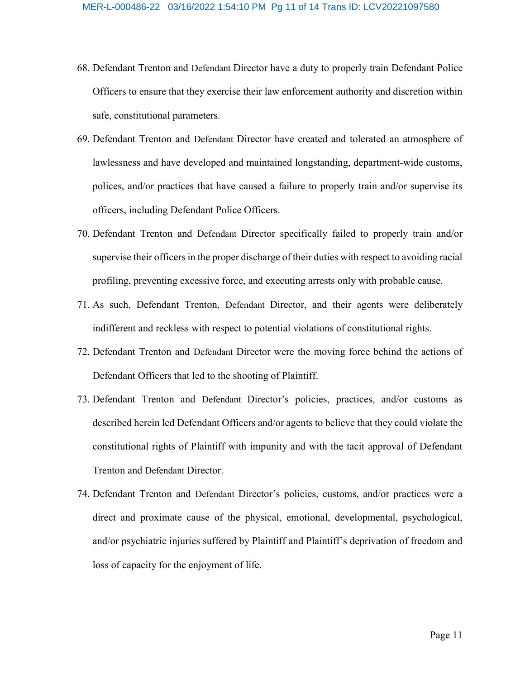- 68. Defendant Trenton and Defendant Director have a duty to properly train Defendant Police Officers to ensure that they exercise their law enforcement authority and discretion within safe, constitutional parameters.
- 69. Defendant Trenton and Defendant Director have created and tolerated an atmosphere of lawlessness and have developed and maintained longstanding, department-wide customs, polices, and/or practices that have caused a failure to properly train and/or supervise its officers, including Defendant Police Officers.
- 70. Defendant Trenton and Defendant Director specifically failed to properly train and/or supervise their officers in the proper discharge of their duties with respect to avoiding racial profiling, preventing excessive force, and executing arrests only with probable cause.
- 71. As such, Defendant Trenton, Defendant Director, and their agents were deliberately indifferent and reckless with respect to potential violations of constitutional rights.
- 72. Defendant Trenton and Defendant Director were the moving force behind the actions of Defendant Officers that led to the shooting of Plaintiff.
- 73. Defendant Trenton and Defendant Director's policies, practices, and/or customs as described herein led Defendant Officers and/or agents to believe that they could violate the constitutional rights of Plaintiff with impunity and with the tacit approval of Defendant Trenton and Defendant Director.
- 74. Defendant Trenton and Defendant Director's policies, customs, and/or practices were a direct and proximate cause of the physical, emotional, developmental, psychological, and/or psychiatric injuries suffered by Plaintiff and Plaintiff's deprivation of freedom and loss of capacity for the enjoyment of life.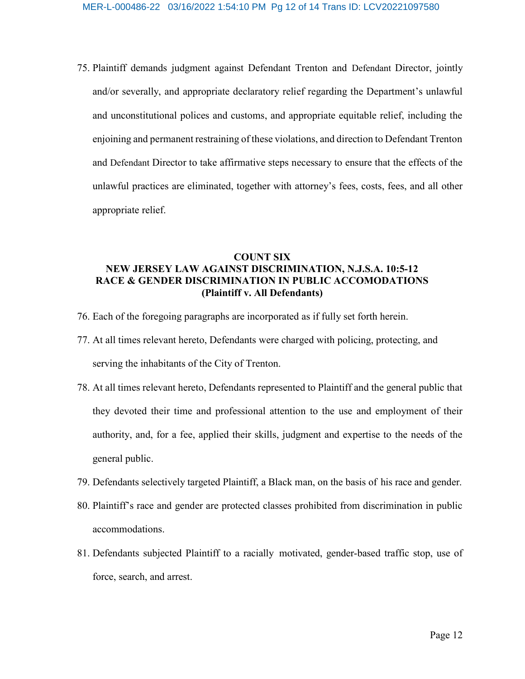75. Plaintiff demands judgment against Defendant Trenton and Defendant Director, jointly and/or severally, and appropriate declaratory relief regarding the Department's unlawful and unconstitutional polices and customs, and appropriate equitable relief, including the enjoining and permanent restraining of these violations, and direction to Defendant Trenton and Defendant Director to take affirmative steps necessary to ensure that the effects of the unlawful practices are eliminated, together with attorney's fees, costs, fees, and all other appropriate relief.

## COUNT SIX NEW JERSEY LAW AGAINST DISCRIMINATION, N.J.S.A. 10:5-12 RACE & GENDER DISCRIMINATION IN PUBLIC ACCOMODATIONS (Plaintiff v. All Defendants)

- 76. Each of the foregoing paragraphs are incorporated as if fully set forth herein.
- 77. At all times relevant hereto, Defendants were charged with policing, protecting, and serving the inhabitants of the City of Trenton.
- 78. At all times relevant hereto, Defendants represented to Plaintiff and the general public that they devoted their time and professional attention to the use and employment of their authority, and, for a fee, applied their skills, judgment and expertise to the needs of the general public.
- 79. Defendants selectively targeted Plaintiff, a Black man, on the basis of his race and gender.
- 80. Plaintiff's race and gender are protected classes prohibited from discrimination in public accommodations.
- 81. Defendants subjected Plaintiff to a racially motivated, gender-based traffic stop, use of force, search, and arrest.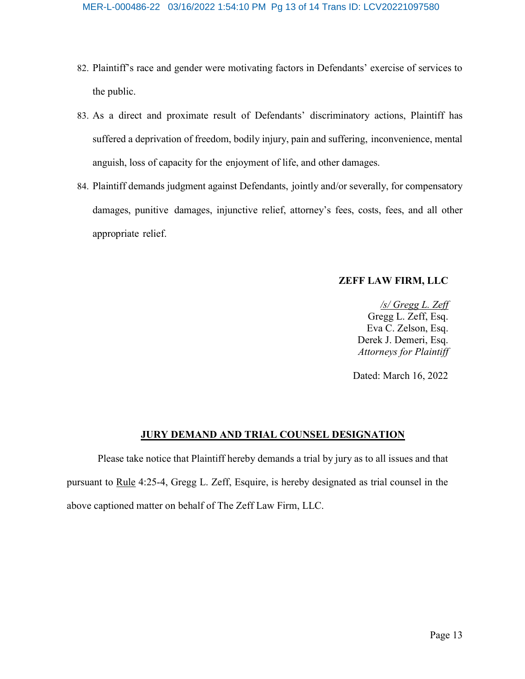- 82. Plaintiff's race and gender were motivating factors in Defendants' exercise of services to the public.
- 83. As a direct and proximate result of Defendants' discriminatory actions, Plaintiff has suffered a deprivation of freedom, bodily injury, pain and suffering, inconvenience, mental anguish, loss of capacity for the enjoyment of life, and other damages.
- 84. Plaintiff demands judgment against Defendants, jointly and/or severally, for compensatory damages, punitive damages, injunctive relief, attorney's fees, costs, fees, and all other appropriate relief.

### ZEFF LAW FIRM, LLC

/s/ Gregg L. Zeff Gregg L. Zeff, Esq. Eva C. Zelson, Esq. Derek J. Demeri, Esq. Attorneys for Plaintiff

Dated: March 16, 2022

#### JURY DEMAND AND TRIAL COUNSEL DESIGNATION

Please take notice that Plaintiff hereby demands a trial by jury as to all issues and that pursuant to Rule 4:25-4, Gregg L. Zeff, Esquire, is hereby designated as trial counsel in the above captioned matter on behalf of The Zeff Law Firm, LLC.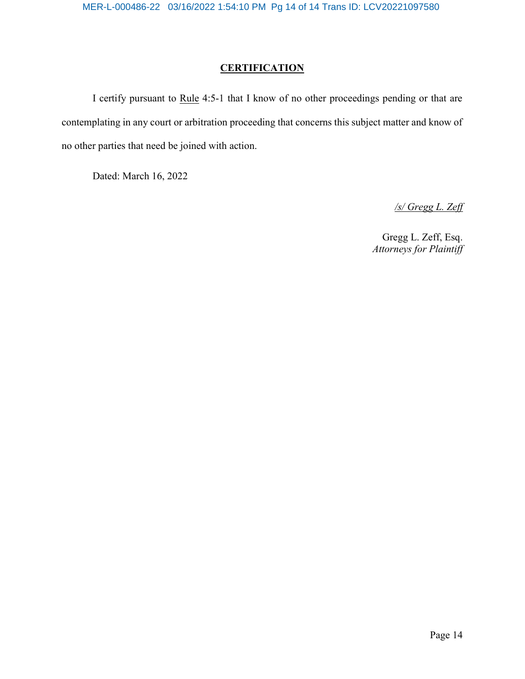## **CERTIFICATION**

I certify pursuant to Rule 4:5-1 that I know of no other proceedings pending or that are contemplating in any court or arbitration proceeding that concerns this subject matter and know of no other parties that need be joined with action.

Dated: March 16, 2022

/s/ Gregg L. Zeff

Gregg L. Zeff, Esq. Attorneys for Plaintiff